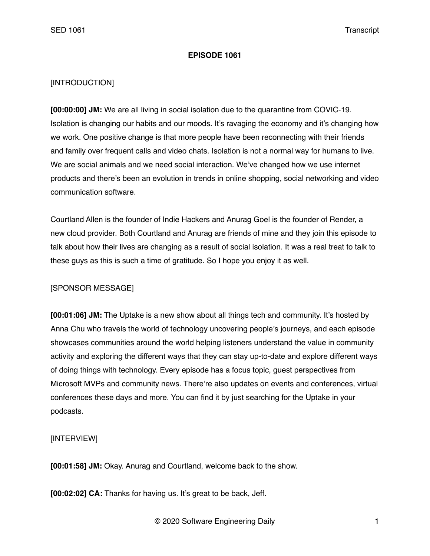#### **EPISODE 1061**

### [INTRODUCTION]

**[00:00:00] JM:** We are all living in social isolation due to the quarantine from COVIC-19. Isolation is changing our habits and our moods. It's ravaging the economy and it's changing how we work. One positive change is that more people have been reconnecting with their friends and family over frequent calls and video chats. Isolation is not a normal way for humans to live. We are social animals and we need social interaction. We've changed how we use internet products and there's been an evolution in trends in online shopping, social networking and video communication software.

Courtland Allen is the founder of Indie Hackers and Anurag Goel is the founder of Render, a new cloud provider. Both Courtland and Anurag are friends of mine and they join this episode to talk about how their lives are changing as a result of social isolation. It was a real treat to talk to these guys as this is such a time of gratitude. So I hope you enjoy it as well.

## [SPONSOR MESSAGE]

**[00:01:06] JM:** The Uptake is a new show about all things tech and community. It's hosted by Anna Chu who travels the world of technology uncovering people's journeys, and each episode showcases communities around the world helping listeners understand the value in community activity and exploring the different ways that they can stay up-to-date and explore different ways of doing things with technology. Every episode has a focus topic, guest perspectives from Microsoft MVPs and community news. There're also updates on events and conferences, virtual conferences these days and more. You can find it by just searching for the Uptake in your podcasts.

## [INTERVIEW]

**[00:01:58] JM:** Okay. Anurag and Courtland, welcome back to the show.

**[00:02:02] CA:** Thanks for having us. It's great to be back, Jeff.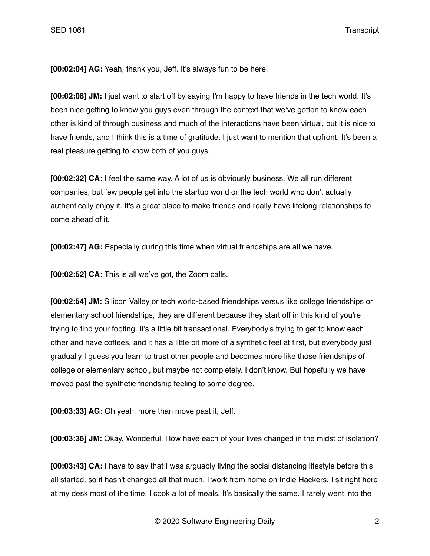**[00:02:04] AG:** Yeah, thank you, Jeff. It's always fun to be here.

**[00:02:08] JM:** I just want to start off by saying I'm happy to have friends in the tech world. It's been nice getting to know you guys even through the context that we've gotten to know each other is kind of through business and much of the interactions have been virtual, but it is nice to have friends, and I think this is a time of gratitude. I just want to mention that upfront. It's been a real pleasure getting to know both of you guys.

**[00:02:32] CA:** I feel the same way. A lot of us is obviously business. We all run different companies, but few people get into the startup world or the tech world who don't actually authentically enjoy it. It's a great place to make friends and really have lifelong relationships to come ahead of it.

**[00:02:47] AG:** Especially during this time when virtual friendships are all we have.

**[00:02:52] CA:** This is all we've got, the Zoom calls.

**[00:02:54] JM:** Silicon Valley or tech world-based friendships versus like college friendships or elementary school friendships, they are different because they start off in this kind of you're trying to find your footing. It's a little bit transactional. Everybody's trying to get to know each other and have coffees, and it has a little bit more of a synthetic feel at first, but everybody just gradually I guess you learn to trust other people and becomes more like those friendships of college or elementary school, but maybe not completely. I don't know. But hopefully we have moved past the synthetic friendship feeling to some degree.

**[00:03:33] AG:** Oh yeah, more than move past it, Jeff.

**[00:03:36] JM:** Okay. Wonderful. How have each of your lives changed in the midst of isolation?

**[00:03:43] CA:** I have to say that I was arguably living the social distancing lifestyle before this all started, so it hasn't changed all that much. I work from home on Indie Hackers. I sit right here at my desk most of the time. I cook a lot of meals. It's basically the same. I rarely went into the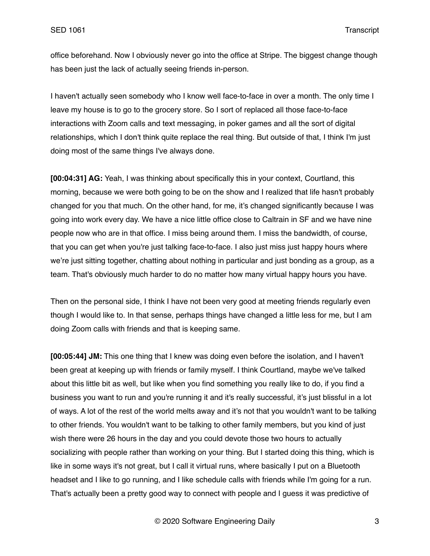office beforehand. Now I obviously never go into the office at Stripe. The biggest change though has been just the lack of actually seeing friends in-person.

I haven't actually seen somebody who I know well face-to-face in over a month. The only time I leave my house is to go to the grocery store. So I sort of replaced all those face-to-face interactions with Zoom calls and text messaging, in poker games and all the sort of digital relationships, which I don't think quite replace the real thing. But outside of that, I think I'm just doing most of the same things I've always done.

**[00:04:31] AG:** Yeah, I was thinking about specifically this in your context, Courtland, this morning, because we were both going to be on the show and I realized that life hasn't probably changed for you that much. On the other hand, for me, it's changed significantly because I was going into work every day. We have a nice little office close to Caltrain in SF and we have nine people now who are in that office. I miss being around them. I miss the bandwidth, of course, that you can get when you're just talking face-to-face. I also just miss just happy hours where we're just sitting together, chatting about nothing in particular and just bonding as a group, as a team. That's obviously much harder to do no matter how many virtual happy hours you have.

Then on the personal side, I think I have not been very good at meeting friends regularly even though I would like to. In that sense, perhaps things have changed a little less for me, but I am doing Zoom calls with friends and that is keeping same.

**[00:05:44] JM:** This one thing that I knew was doing even before the isolation, and I haven't been great at keeping up with friends or family myself. I think Courtland, maybe we've talked about this little bit as well, but like when you find something you really like to do, if you find a business you want to run and you're running it and it's really successful, it's just blissful in a lot of ways. A lot of the rest of the world melts away and it's not that you wouldn't want to be talking to other friends. You wouldn't want to be talking to other family members, but you kind of just wish there were 26 hours in the day and you could devote those two hours to actually socializing with people rather than working on your thing. But I started doing this thing, which is like in some ways it's not great, but I call it virtual runs, where basically I put on a Bluetooth headset and I like to go running, and I like schedule calls with friends while I'm going for a run. That's actually been a pretty good way to connect with people and I guess it was predictive of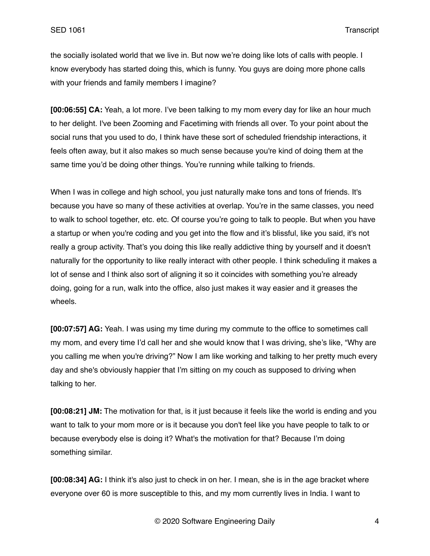the socially isolated world that we live in. But now we're doing like lots of calls with people. I know everybody has started doing this, which is funny. You guys are doing more phone calls with your friends and family members I imagine?

**[00:06:55] CA:** Yeah, a lot more. I've been talking to my mom every day for like an hour much to her delight. I've been Zooming and Facetiming with friends all over. To your point about the social runs that you used to do, I think have these sort of scheduled friendship interactions, it feels often away, but it also makes so much sense because you're kind of doing them at the same time you'd be doing other things. You're running while talking to friends.

When I was in college and high school, you just naturally make tons and tons of friends. It's because you have so many of these activities at overlap. You're in the same classes, you need to walk to school together, etc. etc. Of course you're going to talk to people. But when you have a startup or when you're coding and you get into the flow and it's blissful, like you said, it's not really a group activity. That's you doing this like really addictive thing by yourself and it doesn't naturally for the opportunity to like really interact with other people. I think scheduling it makes a lot of sense and I think also sort of aligning it so it coincides with something you're already doing, going for a run, walk into the office, also just makes it way easier and it greases the wheels.

**[00:07:57] AG:** Yeah. I was using my time during my commute to the office to sometimes call my mom, and every time I'd call her and she would know that I was driving, she's like, "Why are you calling me when you're driving?" Now I am like working and talking to her pretty much every day and she's obviously happier that I'm sitting on my couch as supposed to driving when talking to her.

**[00:08:21] JM:** The motivation for that, is it just because it feels like the world is ending and you want to talk to your mom more or is it because you don't feel like you have people to talk to or because everybody else is doing it? What's the motivation for that? Because I'm doing something similar.

**[00:08:34] AG:** I think it's also just to check in on her. I mean, she is in the age bracket where everyone over 60 is more susceptible to this, and my mom currently lives in India. I want to

© 2020 Software Engineering Daily 4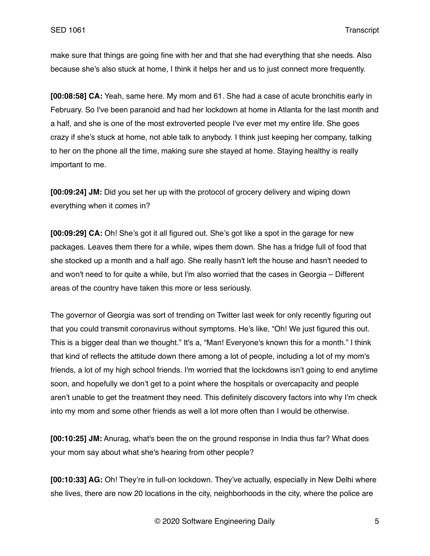make sure that things are going fine with her and that she had everything that she needs. Also because she's also stuck at home, I think it helps her and us to just connect more frequently.

**[00:08:58] CA:** Yeah, same here. My mom and 61. She had a case of acute bronchitis early in February. So I've been paranoid and had her lockdown at home in Atlanta for the last month and a half, and she is one of the most extroverted people I've ever met my entire life. She goes crazy if she's stuck at home, not able talk to anybody. I think just keeping her company, talking to her on the phone all the time, making sure she stayed at home. Staying healthy is really important to me.

**[00:09:24] JM:** Did you set her up with the protocol of grocery delivery and wiping down everything when it comes in?

**[00:09:29] CA:** Oh! She's got it all figured out. She's got like a spot in the garage for new packages. Leaves them there for a while, wipes them down. She has a fridge full of food that she stocked up a month and a half ago. She really hasn't left the house and hasn't needed to and won't need to for quite a while, but I'm also worried that the cases in Georgia – Different areas of the country have taken this more or less seriously.

The governor of Georgia was sort of trending on Twitter last week for only recently figuring out that you could transmit coronavirus without symptoms. He's like, "Oh! We just figured this out. This is a bigger deal than we thought." It's a, "Man! Everyone's known this for a month." I think that kind of reflects the attitude down there among a lot of people, including a lot of my mom's friends, a lot of my high school friends. I'm worried that the lockdowns isn't going to end anytime soon, and hopefully we don't get to a point where the hospitals or overcapacity and people aren't unable to get the treatment they need. This definitely discovery factors into why I'm check into my mom and some other friends as well a lot more often than I would be otherwise.

**[00:10:25] JM:** Anurag, what's been the on the ground response in India thus far? What does your mom say about what she's hearing from other people?

**[00:10:33] AG:** Oh! They're in full-on lockdown. They've actually, especially in New Delhi where she lives, there are now 20 locations in the city, neighborhoods in the city, where the police are

© 2020 Software Engineering Daily 5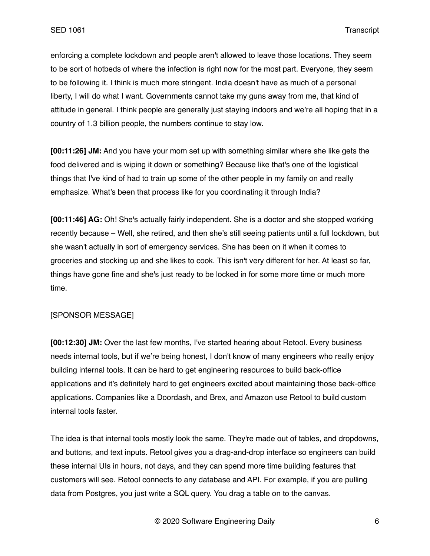enforcing a complete lockdown and people aren't allowed to leave those locations. They seem to be sort of hotbeds of where the infection is right now for the most part. Everyone, they seem to be following it. I think is much more stringent. India doesn't have as much of a personal liberty, I will do what I want. Governments cannot take my guns away from me, that kind of attitude in general. I think people are generally just staying indoors and we're all hoping that in a country of 1.3 billion people, the numbers continue to stay low.

**[00:11:26] JM:** And you have your mom set up with something similar where she like gets the food delivered and is wiping it down or something? Because like that's one of the logistical things that I've kind of had to train up some of the other people in my family on and really emphasize. What's been that process like for you coordinating it through India?

**[00:11:46] AG:** Oh! She's actually fairly independent. She is a doctor and she stopped working recently because – Well, she retired, and then she's still seeing patients until a full lockdown, but she wasn't actually in sort of emergency services. She has been on it when it comes to groceries and stocking up and she likes to cook. This isn't very different for her. At least so far, things have gone fine and she's just ready to be locked in for some more time or much more time.

## [SPONSOR MESSAGE]

**[00:12:30] JM:** Over the last few months, I've started hearing about Retool. Every business needs internal tools, but if we're being honest, I don't know of many engineers who really enjoy building internal tools. It can be hard to get engineering resources to build back-office applications and it's definitely hard to get engineers excited about maintaining those back-office applications. Companies like a Doordash, and Brex, and Amazon use Retool to build custom internal tools faster.

The idea is that internal tools mostly look the same. They're made out of tables, and dropdowns, and buttons, and text inputs. Retool gives you a drag-and-drop interface so engineers can build these internal UIs in hours, not days, and they can spend more time building features that customers will see. Retool connects to any database and API. For example, if you are pulling data from Postgres, you just write a SQL query. You drag a table on to the canvas.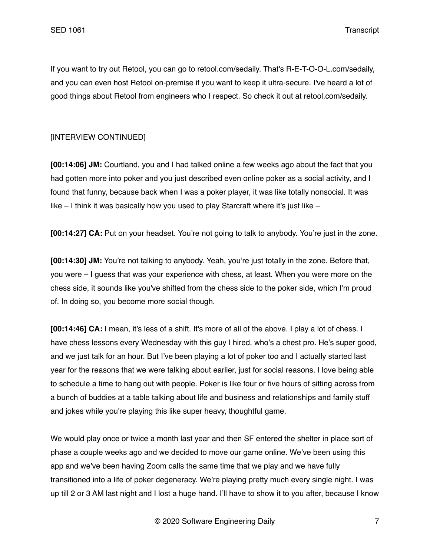If you want to try out Retool, you can go to retool.com/sedaily. That's R-E-T-O-O-L.com/sedaily, and you can even host Retool on-premise if you want to keep it ultra-secure. I've heard a lot of good things about Retool from engineers who I respect. So check it out at retool.com/sedaily.

# [INTERVIEW CONTINUED]

**[00:14:06] JM:** Courtland, you and I had talked online a few weeks ago about the fact that you had gotten more into poker and you just described even online poker as a social activity, and I found that funny, because back when I was a poker player, it was like totally nonsocial. It was like  $-1$  think it was basically how you used to play Starcraft where it's just like  $-$ 

**[00:14:27] CA:** Put on your headset. You're not going to talk to anybody. You're just in the zone.

**[00:14:30] JM:** You're not talking to anybody. Yeah, you're just totally in the zone. Before that, you were – I guess that was your experience with chess, at least. When you were more on the chess side, it sounds like you've shifted from the chess side to the poker side, which I'm proud of. In doing so, you become more social though.

**[00:14:46] CA:** I mean, it's less of a shift. It's more of all of the above. I play a lot of chess. I have chess lessons every Wednesday with this guy I hired, who's a chest pro. He's super good, and we just talk for an hour. But I've been playing a lot of poker too and I actually started last year for the reasons that we were talking about earlier, just for social reasons. I love being able to schedule a time to hang out with people. Poker is like four or five hours of sitting across from a bunch of buddies at a table talking about life and business and relationships and family stuff and jokes while you're playing this like super heavy, thoughtful game.

We would play once or twice a month last year and then SF entered the shelter in place sort of phase a couple weeks ago and we decided to move our game online. We've been using this app and we've been having Zoom calls the same time that we play and we have fully transitioned into a life of poker degeneracy. We're playing pretty much every single night. I was up till 2 or 3 AM last night and I lost a huge hand. I'll have to show it to you after, because I know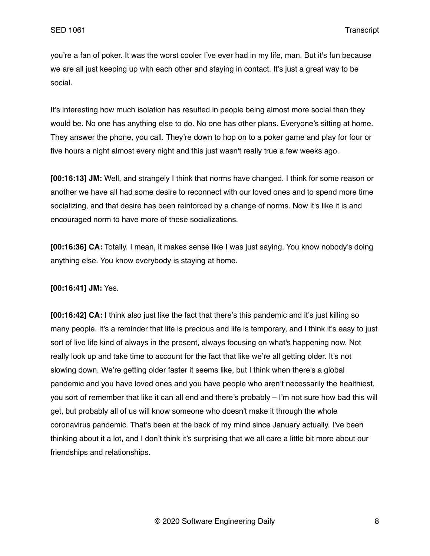you're a fan of poker. It was the worst cooler I've ever had in my life, man. But it's fun because we are all just keeping up with each other and staying in contact. It's just a great way to be social.

It's interesting how much isolation has resulted in people being almost more social than they would be. No one has anything else to do. No one has other plans. Everyone's sitting at home. They answer the phone, you call. They're down to hop on to a poker game and play for four or five hours a night almost every night and this just wasn't really true a few weeks ago.

**[00:16:13] JM:** Well, and strangely I think that norms have changed. I think for some reason or another we have all had some desire to reconnect with our loved ones and to spend more time socializing, and that desire has been reinforced by a change of norms. Now it's like it is and encouraged norm to have more of these socializations.

**[00:16:36] CA:** Totally. I mean, it makes sense like I was just saying. You know nobody's doing anything else. You know everybody is staying at home.

**[00:16:41] JM:** Yes.

**[00:16:42] CA:** I think also just like the fact that there's this pandemic and it's just killing so many people. It's a reminder that life is precious and life is temporary, and I think it's easy to just sort of live life kind of always in the present, always focusing on what's happening now. Not really look up and take time to account for the fact that like we're all getting older. It's not slowing down. We're getting older faster it seems like, but I think when there's a global pandemic and you have loved ones and you have people who aren't necessarily the healthiest, you sort of remember that like it can all end and there's probably – I'm not sure how bad this will get, but probably all of us will know someone who doesn't make it through the whole coronavirus pandemic. That's been at the back of my mind since January actually. I've been thinking about it a lot, and I don't think it's surprising that we all care a little bit more about our friendships and relationships.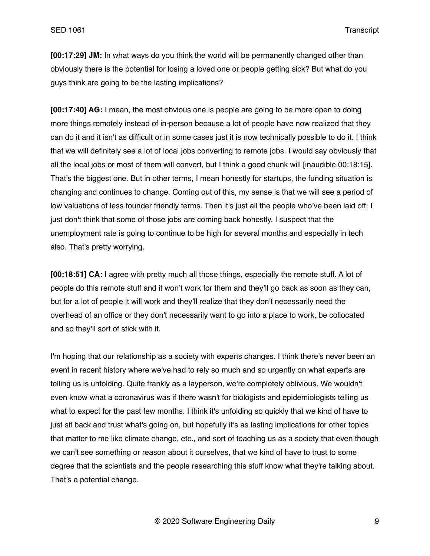**[00:17:29] JM:** In what ways do you think the world will be permanently changed other than obviously there is the potential for losing a loved one or people getting sick? But what do you guys think are going to be the lasting implications?

**[00:17:40] AG:** I mean, the most obvious one is people are going to be more open to doing more things remotely instead of in-person because a lot of people have now realized that they can do it and it isn't as difficult or in some cases just it is now technically possible to do it. I think that we will definitely see a lot of local jobs converting to remote jobs. I would say obviously that all the local jobs or most of them will convert, but I think a good chunk will [inaudible 00:18:15]. That's the biggest one. But in other terms, I mean honestly for startups, the funding situation is changing and continues to change. Coming out of this, my sense is that we will see a period of low valuations of less founder friendly terms. Then it's just all the people who've been laid off. I just don't think that some of those jobs are coming back honestly. I suspect that the unemployment rate is going to continue to be high for several months and especially in tech also. That's pretty worrying.

**[00:18:51] CA:** I agree with pretty much all those things, especially the remote stuff. A lot of people do this remote stuff and it won't work for them and they'll go back as soon as they can, but for a lot of people it will work and they'll realize that they don't necessarily need the overhead of an office or they don't necessarily want to go into a place to work, be collocated and so they'll sort of stick with it.

I'm hoping that our relationship as a society with experts changes. I think there's never been an event in recent history where we've had to rely so much and so urgently on what experts are telling us is unfolding. Quite frankly as a layperson, we're completely oblivious. We wouldn't even know what a coronavirus was if there wasn't for biologists and epidemiologists telling us what to expect for the past few months. I think it's unfolding so quickly that we kind of have to just sit back and trust what's going on, but hopefully it's as lasting implications for other topics that matter to me like climate change, etc., and sort of teaching us as a society that even though we can't see something or reason about it ourselves, that we kind of have to trust to some degree that the scientists and the people researching this stuff know what they're talking about. That's a potential change.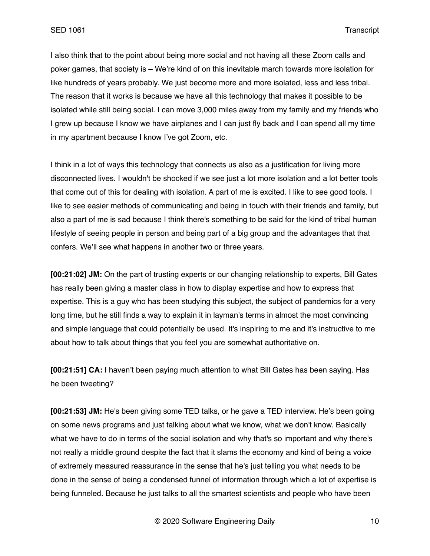I also think that to the point about being more social and not having all these Zoom calls and poker games, that society is – We're kind of on this inevitable march towards more isolation for like hundreds of years probably. We just become more and more isolated, less and less tribal. The reason that it works is because we have all this technology that makes it possible to be isolated while still being social. I can move 3,000 miles away from my family and my friends who I grew up because I know we have airplanes and I can just fly back and I can spend all my time in my apartment because I know I've got Zoom, etc.

I think in a lot of ways this technology that connects us also as a justification for living more disconnected lives. I wouldn't be shocked if we see just a lot more isolation and a lot better tools that come out of this for dealing with isolation. A part of me is excited. I like to see good tools. I like to see easier methods of communicating and being in touch with their friends and family, but also a part of me is sad because I think there's something to be said for the kind of tribal human lifestyle of seeing people in person and being part of a big group and the advantages that that confers. We'll see what happens in another two or three years.

**[00:21:02] JM:** On the part of trusting experts or our changing relationship to experts, Bill Gates has really been giving a master class in how to display expertise and how to express that expertise. This is a guy who has been studying this subject, the subject of pandemics for a very long time, but he still finds a way to explain it in layman's terms in almost the most convincing and simple language that could potentially be used. It's inspiring to me and it's instructive to me about how to talk about things that you feel you are somewhat authoritative on.

**[00:21:51] CA:** I haven't been paying much attention to what Bill Gates has been saying. Has he been tweeting?

**[00:21:53] JM:** He's been giving some TED talks, or he gave a TED interview. He's been going on some news programs and just talking about what we know, what we don't know. Basically what we have to do in terms of the social isolation and why that's so important and why there's not really a middle ground despite the fact that it slams the economy and kind of being a voice of extremely measured reassurance in the sense that he's just telling you what needs to be done in the sense of being a condensed funnel of information through which a lot of expertise is being funneled. Because he just talks to all the smartest scientists and people who have been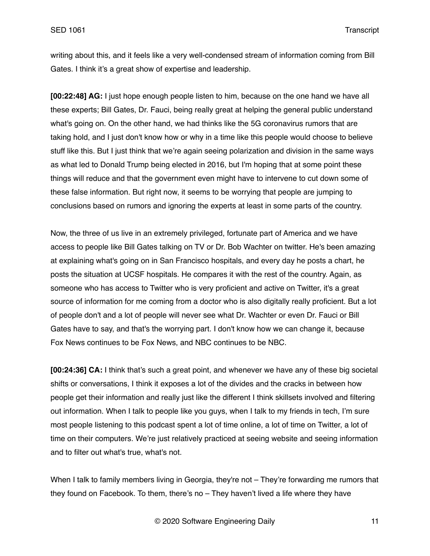writing about this, and it feels like a very well-condensed stream of information coming from Bill Gates. I think it's a great show of expertise and leadership.

**[00:22:48] AG:** I just hope enough people listen to him, because on the one hand we have all these experts; Bill Gates, Dr. Fauci, being really great at helping the general public understand what's going on. On the other hand, we had thinks like the 5G coronavirus rumors that are taking hold, and I just don't know how or why in a time like this people would choose to believe stuff like this. But I just think that we're again seeing polarization and division in the same ways as what led to Donald Trump being elected in 2016, but I'm hoping that at some point these things will reduce and that the government even might have to intervene to cut down some of these false information. But right now, it seems to be worrying that people are jumping to conclusions based on rumors and ignoring the experts at least in some parts of the country.

Now, the three of us live in an extremely privileged, fortunate part of America and we have access to people like Bill Gates talking on TV or Dr. Bob Wachter on twitter. He's been amazing at explaining what's going on in San Francisco hospitals, and every day he posts a chart, he posts the situation at UCSF hospitals. He compares it with the rest of the country. Again, as someone who has access to Twitter who is very proficient and active on Twitter, it's a great source of information for me coming from a doctor who is also digitally really proficient. But a lot of people don't and a lot of people will never see what Dr. Wachter or even Dr. Fauci or Bill Gates have to say, and that's the worrying part. I don't know how we can change it, because Fox News continues to be Fox News, and NBC continues to be NBC.

**[00:24:36] CA:** I think that's such a great point, and whenever we have any of these big societal shifts or conversations, I think it exposes a lot of the divides and the cracks in between how people get their information and really just like the different I think skillsets involved and filtering out information. When I talk to people like you guys, when I talk to my friends in tech, I'm sure most people listening to this podcast spent a lot of time online, a lot of time on Twitter, a lot of time on their computers. We're just relatively practiced at seeing website and seeing information and to filter out what's true, what's not.

When I talk to family members living in Georgia, they're not – They're forwarding me rumors that they found on Facebook. To them, there's no – They haven't lived a life where they have

© 2020 Software Engineering Daily 11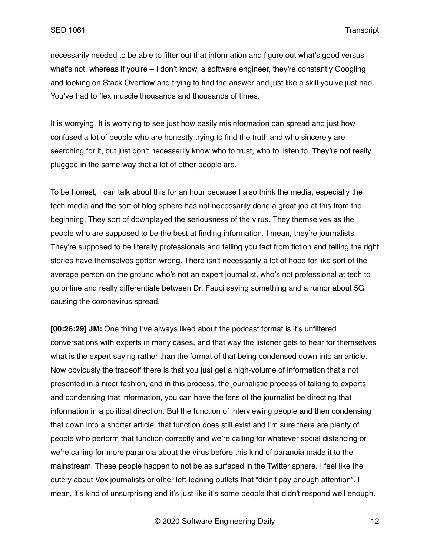necessarily needed to be able to filter out that information and figure out what's good versus what's not, whereas if you're – I don't know, a software engineer, they're constantly Googling and looking on Stack Overflow and trying to find the answer and just like a skill you've just had. You've had to flex muscle thousands and thousands of times.

It is worrying. It is worrying to see just how easily misinformation can spread and just how confused a lot of people who are honestly trying to find the truth and who sincerely are searching for it, but just don't necessarily know who to trust, who to listen to. They're not really plugged in the same way that a lot of other people are.

To be honest, I can talk about this for an hour because I also think the media, especially the tech media and the sort of blog sphere has not necessarily done a great job at this from the beginning. They sort of downplayed the seriousness of the virus. They themselves as the people who are supposed to be the best at finding information. I mean, they're journalists. They're supposed to be literally professionals and telling you fact from fiction and telling the right stories have themselves gotten wrong. There isn't necessarily a lot of hope for like sort of the average person on the ground who's not an expert journalist, who's not professional at tech to go online and really differentiate between Dr. Fauci saying something and a rumor about 5G causing the coronavirus spread.

**[00:26:29] JM:** One thing I've always liked about the podcast format is it's unfiltered conversations with experts in many cases, and that way the listener gets to hear for themselves what is the expert saying rather than the format of that being condensed down into an article. Now obviously the tradeoff there is that you just get a high-volume of information that's not presented in a nicer fashion, and in this process, the journalistic process of talking to experts and condensing that information, you can have the lens of the journalist be directing that information in a political direction. But the function of interviewing people and then condensing that down into a shorter article, that function does still exist and I'm sure there are plenty of people who perform that function correctly and we're calling for whatever social distancing or we're calling for more paranoia about the virus before this kind of paranoia made it to the mainstream. These people happen to not be as surfaced in the Twitter sphere. I feel like the outcry about Vox journalists or other left-leaning outlets that "didn't pay enough attention". I mean, it's kind of unsurprising and it's just like it's some people that didn't respond well enough.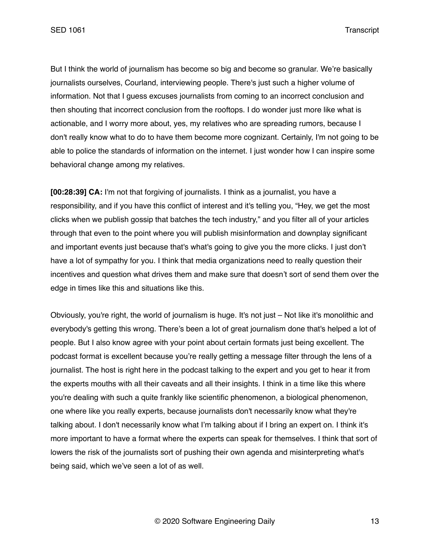SED 1061 Transcript

But I think the world of journalism has become so big and become so granular. We're basically journalists ourselves, Courland, interviewing people. There's just such a higher volume of information. Not that I guess excuses journalists from coming to an incorrect conclusion and then shouting that incorrect conclusion from the rooftops. I do wonder just more like what is actionable, and I worry more about, yes, my relatives who are spreading rumors, because I don't really know what to do to have them become more cognizant. Certainly, I'm not going to be able to police the standards of information on the internet. I just wonder how I can inspire some behavioral change among my relatives.

**[00:28:39] CA:** I'm not that forgiving of journalists. I think as a journalist, you have a responsibility, and if you have this conflict of interest and it's telling you, "Hey, we get the most clicks when we publish gossip that batches the tech industry," and you filter all of your articles through that even to the point where you will publish misinformation and downplay significant and important events just because that's what's going to give you the more clicks. I just don't have a lot of sympathy for you. I think that media organizations need to really question their incentives and question what drives them and make sure that doesn't sort of send them over the edge in times like this and situations like this.

Obviously, you're right, the world of journalism is huge. It's not just – Not like it's monolithic and everybody's getting this wrong. There's been a lot of great journalism done that's helped a lot of people. But I also know agree with your point about certain formats just being excellent. The podcast format is excellent because you're really getting a message filter through the lens of a journalist. The host is right here in the podcast talking to the expert and you get to hear it from the experts mouths with all their caveats and all their insights. I think in a time like this where you're dealing with such a quite frankly like scientific phenomenon, a biological phenomenon, one where like you really experts, because journalists don't necessarily know what they're talking about. I don't necessarily know what I'm talking about if I bring an expert on. I think it's more important to have a format where the experts can speak for themselves. I think that sort of lowers the risk of the journalists sort of pushing their own agenda and misinterpreting what's being said, which we've seen a lot of as well.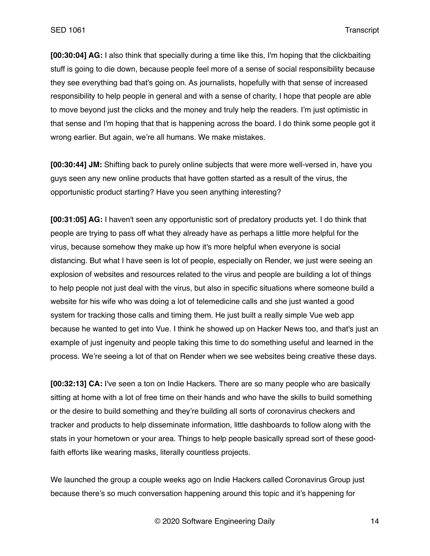**[00:30:04] AG:** I also think that specially during a time like this, I'm hoping that the clickbaiting stuff is going to die down, because people feel more of a sense of social responsibility because they see everything bad that's going on. As journalists, hopefully with that sense of increased responsibility to help people in general and with a sense of charity, I hope that people are able to move beyond just the clicks and the money and truly help the readers. I'm just optimistic in that sense and I'm hoping that that is happening across the board. I do think some people got it wrong earlier. But again, we're all humans. We make mistakes.

**[00:30:44] JM:** Shifting back to purely online subjects that were more well-versed in, have you guys seen any new online products that have gotten started as a result of the virus, the opportunistic product starting? Have you seen anything interesting?

**[00:31:05] AG:** I haven't seen any opportunistic sort of predatory products yet. I do think that people are trying to pass off what they already have as perhaps a little more helpful for the virus, because somehow they make up how it's more helpful when everyone is social distancing. But what I have seen is lot of people, especially on Render, we just were seeing an explosion of websites and resources related to the virus and people are building a lot of things to help people not just deal with the virus, but also in specific situations where someone build a website for his wife who was doing a lot of telemedicine calls and she just wanted a good system for tracking those calls and timing them. He just built a really simple Vue web app because he wanted to get into Vue. I think he showed up on Hacker News too, and that's just an example of just ingenuity and people taking this time to do something useful and learned in the process. We're seeing a lot of that on Render when we see websites being creative these days.

**[00:32:13] CA:** I've seen a ton on Indie Hackers. There are so many people who are basically sitting at home with a lot of free time on their hands and who have the skills to build something or the desire to build something and they're building all sorts of coronavirus checkers and tracker and products to help disseminate information, little dashboards to follow along with the stats in your hometown or your area. Things to help people basically spread sort of these goodfaith efforts like wearing masks, literally countless projects.

We launched the group a couple weeks ago on Indie Hackers called Coronavirus Group just because there's so much conversation happening around this topic and it's happening for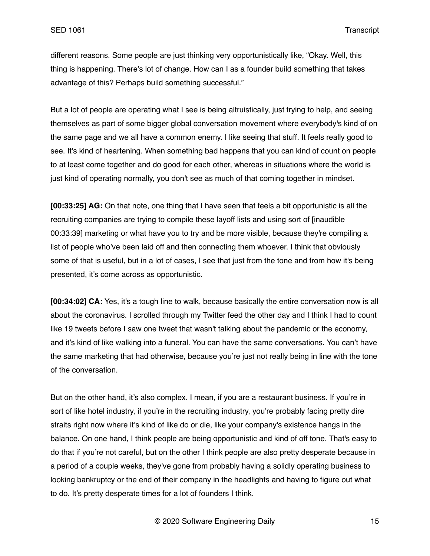different reasons. Some people are just thinking very opportunistically like, "Okay. Well, this thing is happening. There's lot of change. How can I as a founder build something that takes advantage of this? Perhaps build something successful."

But a lot of people are operating what I see is being altruistically, just trying to help, and seeing themselves as part of some bigger global conversation movement where everybody's kind of on the same page and we all have a common enemy. I like seeing that stuff. It feels really good to see. It's kind of heartening. When something bad happens that you can kind of count on people to at least come together and do good for each other, whereas in situations where the world is just kind of operating normally, you don't see as much of that coming together in mindset.

**[00:33:25] AG:** On that note, one thing that I have seen that feels a bit opportunistic is all the recruiting companies are trying to compile these layoff lists and using sort of [inaudible 00:33:39] marketing or what have you to try and be more visible, because they're compiling a list of people who've been laid off and then connecting them whoever. I think that obviously some of that is useful, but in a lot of cases, I see that just from the tone and from how it's being presented, it's come across as opportunistic.

**[00:34:02] CA:** Yes, it's a tough line to walk, because basically the entire conversation now is all about the coronavirus. I scrolled through my Twitter feed the other day and I think I had to count like 19 tweets before I saw one tweet that wasn't talking about the pandemic or the economy, and it's kind of like walking into a funeral. You can have the same conversations. You can't have the same marketing that had otherwise, because you're just not really being in line with the tone of the conversation.

But on the other hand, it's also complex. I mean, if you are a restaurant business. If you're in sort of like hotel industry, if you're in the recruiting industry, you're probably facing pretty dire straits right now where it's kind of like do or die, like your company's existence hangs in the balance. On one hand, I think people are being opportunistic and kind of off tone. That's easy to do that if you're not careful, but on the other I think people are also pretty desperate because in a period of a couple weeks, they've gone from probably having a solidly operating business to looking bankruptcy or the end of their company in the headlights and having to figure out what to do. It's pretty desperate times for a lot of founders I think.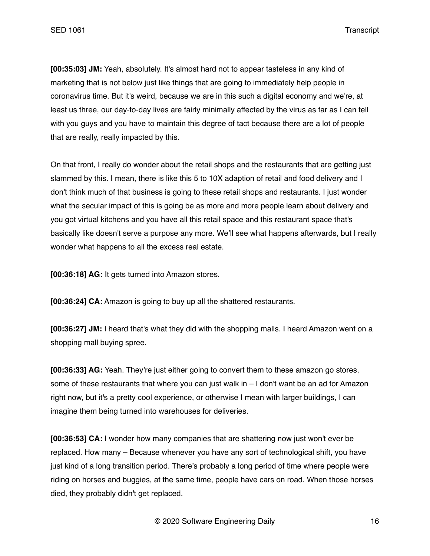**[00:35:03] JM:** Yeah, absolutely. It's almost hard not to appear tasteless in any kind of marketing that is not below just like things that are going to immediately help people in coronavirus time. But it's weird, because we are in this such a digital economy and we're, at least us three, our day-to-day lives are fairly minimally affected by the virus as far as I can tell with you guys and you have to maintain this degree of tact because there are a lot of people that are really, really impacted by this.

On that front, I really do wonder about the retail shops and the restaurants that are getting just slammed by this. I mean, there is like this 5 to 10X adaption of retail and food delivery and I don't think much of that business is going to these retail shops and restaurants. I just wonder what the secular impact of this is going be as more and more people learn about delivery and you got virtual kitchens and you have all this retail space and this restaurant space that's basically like doesn't serve a purpose any more. We'll see what happens afterwards, but I really wonder what happens to all the excess real estate.

**[00:36:18] AG:** It gets turned into Amazon stores.

**[00:36:24] CA:** Amazon is going to buy up all the shattered restaurants.

**[00:36:27] JM:** I heard that's what they did with the shopping malls. I heard Amazon went on a shopping mall buying spree.

**[00:36:33] AG:** Yeah. They're just either going to convert them to these amazon go stores, some of these restaurants that where you can just walk in – I don't want be an ad for Amazon right now, but it's a pretty cool experience, or otherwise I mean with larger buildings, I can imagine them being turned into warehouses for deliveries.

**[00:36:53] CA:** I wonder how many companies that are shattering now just won't ever be replaced. How many – Because whenever you have any sort of technological shift, you have just kind of a long transition period. There's probably a long period of time where people were riding on horses and buggies, at the same time, people have cars on road. When those horses died, they probably didn't get replaced.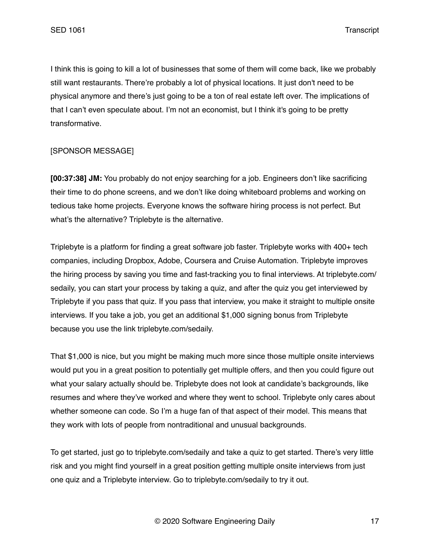I think this is going to kill a lot of businesses that some of them will come back, like we probably still want restaurants. There're probably a lot of physical locations. It just don't need to be physical anymore and there's just going to be a ton of real estate left over. The implications of that I can't even speculate about. I'm not an economist, but I think it's going to be pretty transformative.

## [SPONSOR MESSAGE]

**[00:37:38] JM:** You probably do not enjoy searching for a job. Engineers don't like sacrificing their time to do phone screens, and we don't like doing whiteboard problems and working on tedious take home projects. Everyone knows the software hiring process is not perfect. But what's the alternative? Triplebyte is the alternative.

Triplebyte is a platform for finding a great software job faster. Triplebyte works with 400+ tech companies, including Dropbox, Adobe, Coursera and Cruise Automation. Triplebyte improves the hiring process by saving you time and fast-tracking you to final interviews. At triplebyte.com/ sedaily, you can start your process by taking a quiz, and after the quiz you get interviewed by Triplebyte if you pass that quiz. If you pass that interview, you make it straight to multiple onsite interviews. If you take a job, you get an additional \$1,000 signing bonus from Triplebyte because you use the link triplebyte.com/sedaily.

That \$1,000 is nice, but you might be making much more since those multiple onsite interviews would put you in a great position to potentially get multiple offers, and then you could figure out what your salary actually should be. Triplebyte does not look at candidate's backgrounds, like resumes and where they've worked and where they went to school. Triplebyte only cares about whether someone can code. So I'm a huge fan of that aspect of their model. This means that they work with lots of people from nontraditional and unusual backgrounds.

To get started, just go to triplebyte.com/sedaily and take a quiz to get started. There's very little risk and you might find yourself in a great position getting multiple onsite interviews from just one quiz and a Triplebyte interview. Go to triplebyte.com/sedaily to try it out.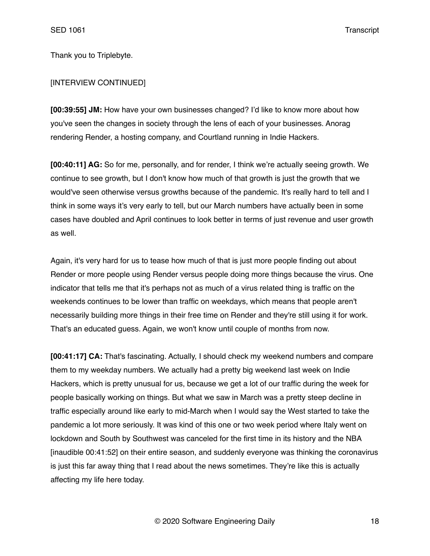Thank you to Triplebyte.

#### [INTERVIEW CONTINUED]

**[00:39:55] JM:** How have your own businesses changed? I'd like to know more about how you've seen the changes in society through the lens of each of your businesses. Anorag rendering Render, a hosting company, and Courtland running in Indie Hackers.

**[00:40:11] AG:** So for me, personally, and for render, I think we're actually seeing growth. We continue to see growth, but I don't know how much of that growth is just the growth that we would've seen otherwise versus growths because of the pandemic. It's really hard to tell and I think in some ways it's very early to tell, but our March numbers have actually been in some cases have doubled and April continues to look better in terms of just revenue and user growth as well.

Again, it's very hard for us to tease how much of that is just more people finding out about Render or more people using Render versus people doing more things because the virus. One indicator that tells me that it's perhaps not as much of a virus related thing is traffic on the weekends continues to be lower than traffic on weekdays, which means that people aren't necessarily building more things in their free time on Render and they're still using it for work. That's an educated guess. Again, we won't know until couple of months from now.

**[00:41:17] CA:** That's fascinating. Actually, I should check my weekend numbers and compare them to my weekday numbers. We actually had a pretty big weekend last week on Indie Hackers, which is pretty unusual for us, because we get a lot of our traffic during the week for people basically working on things. But what we saw in March was a pretty steep decline in traffic especially around like early to mid-March when I would say the West started to take the pandemic a lot more seriously. It was kind of this one or two week period where Italy went on lockdown and South by Southwest was canceled for the first time in its history and the NBA [inaudible 00:41:52] on their entire season, and suddenly everyone was thinking the coronavirus is just this far away thing that I read about the news sometimes. They're like this is actually affecting my life here today.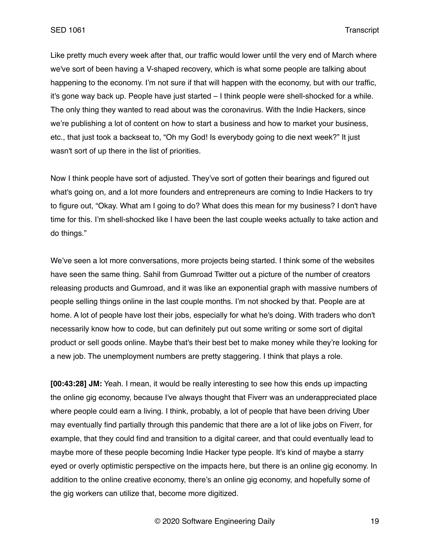Like pretty much every week after that, our traffic would lower until the very end of March where we've sort of been having a V-shaped recovery, which is what some people are talking about happening to the economy. I'm not sure if that will happen with the economy, but with our traffic, it's gone way back up. People have just started – I think people were shell-shocked for a while. The only thing they wanted to read about was the coronavirus. With the Indie Hackers, since we're publishing a lot of content on how to start a business and how to market your business, etc., that just took a backseat to, "Oh my God! Is everybody going to die next week?" It just wasn't sort of up there in the list of priorities.

Now I think people have sort of adjusted. They've sort of gotten their bearings and figured out what's going on, and a lot more founders and entrepreneurs are coming to Indie Hackers to try to figure out, "Okay. What am I going to do? What does this mean for my business? I don't have time for this. I'm shell-shocked like I have been the last couple weeks actually to take action and do things."

We've seen a lot more conversations, more projects being started. I think some of the websites have seen the same thing. Sahil from Gumroad Twitter out a picture of the number of creators releasing products and Gumroad, and it was like an exponential graph with massive numbers of people selling things online in the last couple months. I'm not shocked by that. People are at home. A lot of people have lost their jobs, especially for what he's doing. With traders who don't necessarily know how to code, but can definitely put out some writing or some sort of digital product or sell goods online. Maybe that's their best bet to make money while they're looking for a new job. The unemployment numbers are pretty staggering. I think that plays a role.

**[00:43:28] JM:** Yeah. I mean, it would be really interesting to see how this ends up impacting the online gig economy, because I've always thought that Fiverr was an underappreciated place where people could earn a living. I think, probably, a lot of people that have been driving Uber may eventually find partially through this pandemic that there are a lot of like jobs on Fiverr, for example, that they could find and transition to a digital career, and that could eventually lead to maybe more of these people becoming Indie Hacker type people. It's kind of maybe a starry eyed or overly optimistic perspective on the impacts here, but there is an online gig economy. In addition to the online creative economy, there's an online gig economy, and hopefully some of the gig workers can utilize that, become more digitized.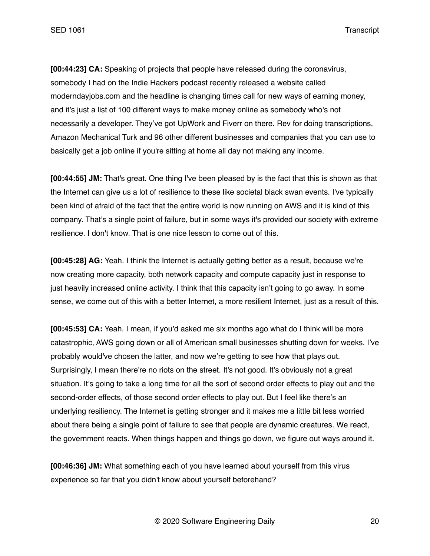**[00:44:23] CA:** Speaking of projects that people have released during the coronavirus, somebody I had on the Indie Hackers podcast recently released a website called moderndayjobs.com and the headline is changing times call for new ways of earning money, and it's just a list of 100 different ways to make money online as somebody who's not necessarily a developer. They've got UpWork and Fiverr on there. Rev for doing transcriptions, Amazon Mechanical Turk and 96 other different businesses and companies that you can use to basically get a job online if you're sitting at home all day not making any income.

**[00:44:55] JM:** That's great. One thing I've been pleased by is the fact that this is shown as that the Internet can give us a lot of resilience to these like societal black swan events. I've typically been kind of afraid of the fact that the entire world is now running on AWS and it is kind of this company. That's a single point of failure, but in some ways it's provided our society with extreme resilience. I don't know. That is one nice lesson to come out of this.

**[00:45:28] AG:** Yeah. I think the Internet is actually getting better as a result, because we're now creating more capacity, both network capacity and compute capacity just in response to just heavily increased online activity. I think that this capacity isn't going to go away. In some sense, we come out of this with a better Internet, a more resilient Internet, just as a result of this.

**[00:45:53] CA:** Yeah. I mean, if you'd asked me six months ago what do I think will be more catastrophic, AWS going down or all of American small businesses shutting down for weeks. I've probably would've chosen the latter, and now we're getting to see how that plays out. Surprisingly, I mean there're no riots on the street. It's not good. It's obviously not a great situation. It's going to take a long time for all the sort of second order effects to play out and the second-order effects, of those second order effects to play out. But I feel like there's an underlying resiliency. The Internet is getting stronger and it makes me a little bit less worried about there being a single point of failure to see that people are dynamic creatures. We react, the government reacts. When things happen and things go down, we figure out ways around it.

**[00:46:36] JM:** What something each of you have learned about yourself from this virus experience so far that you didn't know about yourself beforehand?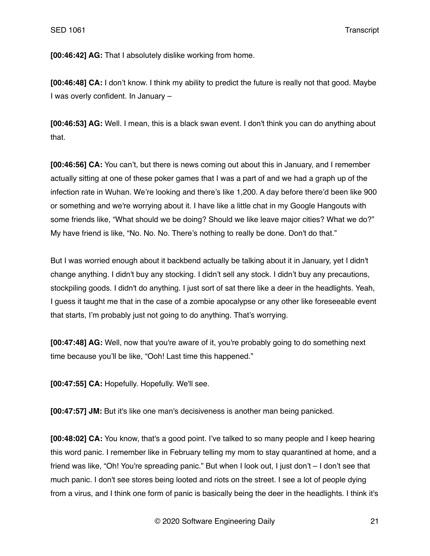**[00:46:42] AG:** That I absolutely dislike working from home.

**[00:46:48] CA:** I don't know. I think my ability to predict the future is really not that good. Maybe I was overly confident. In January –

**[00:46:53] AG:** Well. I mean, this is a black swan event. I don't think you can do anything about that.

**[00:46:56] CA:** You can't, but there is news coming out about this in January, and I remember actually sitting at one of these poker games that I was a part of and we had a graph up of the infection rate in Wuhan. We're looking and there's like 1,200. A day before there'd been like 900 or something and we're worrying about it. I have like a little chat in my Google Hangouts with some friends like, "What should we be doing? Should we like leave major cities? What we do?" My have friend is like, "No. No. No. There's nothing to really be done. Don't do that."

But I was worried enough about it backbend actually be talking about it in January, yet I didn't change anything. I didn't buy any stocking. I didn't sell any stock. I didn't buy any precautions, stockpiling goods. I didn't do anything. I just sort of sat there like a deer in the headlights. Yeah, I guess it taught me that in the case of a zombie apocalypse or any other like foreseeable event that starts, I'm probably just not going to do anything. That's worrying.

**[00:47:48] AG:** Well, now that you're aware of it, you're probably going to do something next time because you'll be like, "Ooh! Last time this happened."

**[00:47:55] CA:** Hopefully. Hopefully. We'll see.

**[00:47:57] JM:** But it's like one man's decisiveness is another man being panicked.

**[00:48:02] CA:** You know, that's a good point. I've talked to so many people and I keep hearing this word panic. I remember like in February telling my mom to stay quarantined at home, and a friend was like, "Oh! You're spreading panic." But when I look out, I just don't – I don't see that much panic. I don't see stores being looted and riots on the street. I see a lot of people dying from a virus, and I think one form of panic is basically being the deer in the headlights. I think it's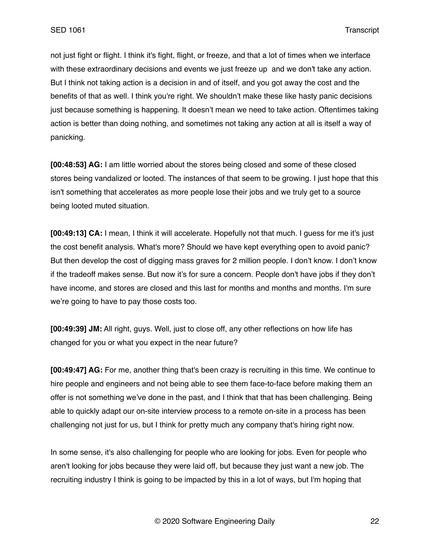not just fight or flight. I think it's fight, flight, or freeze, and that a lot of times when we interface with these extraordinary decisions and events we just freeze up and we don't take any action. But I think not taking action is a decision in and of itself, and you got away the cost and the benefits of that as well. I think you're right. We shouldn't make these like hasty panic decisions just because something is happening. It doesn't mean we need to take action. Oftentimes taking action is better than doing nothing, and sometimes not taking any action at all is itself a way of panicking.

**[00:48:53] AG:** I am little worried about the stores being closed and some of these closed stores being vandalized or looted. The instances of that seem to be growing. I just hope that this isn't something that accelerates as more people lose their jobs and we truly get to a source being looted muted situation.

**[00:49:13] CA:** I mean, I think it will accelerate. Hopefully not that much. I guess for me it's just the cost benefit analysis. What's more? Should we have kept everything open to avoid panic? But then develop the cost of digging mass graves for 2 million people. I don't know. I don't know if the tradeoff makes sense. But now it's for sure a concern. People don't have jobs if they don't have income, and stores are closed and this last for months and months and months. I'm sure we're going to have to pay those costs too.

**[00:49:39] JM:** All right, guys. Well, just to close off, any other reflections on how life has changed for you or what you expect in the near future?

**[00:49:47] AG:** For me, another thing that's been crazy is recruiting in this time. We continue to hire people and engineers and not being able to see them face-to-face before making them an offer is not something we've done in the past, and I think that that has been challenging. Being able to quickly adapt our on-site interview process to a remote on-site in a process has been challenging not just for us, but I think for pretty much any company that's hiring right now.

In some sense, it's also challenging for people who are looking for jobs. Even for people who aren't looking for jobs because they were laid off, but because they just want a new job. The recruiting industry I think is going to be impacted by this in a lot of ways, but I'm hoping that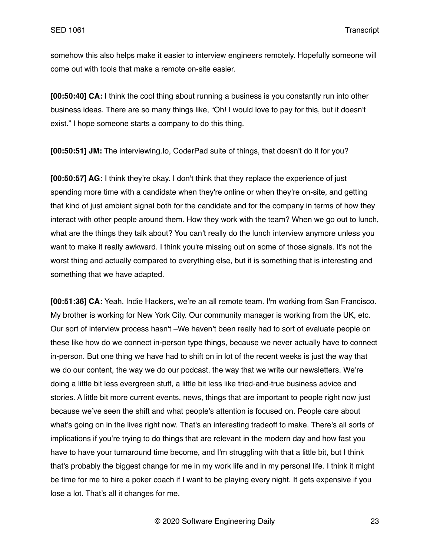somehow this also helps make it easier to interview engineers remotely. Hopefully someone will come out with tools that make a remote on-site easier.

**[00:50:40] CA:** I think the cool thing about running a business is you constantly run into other business ideas. There are so many things like, "Oh! I would love to pay for this, but it doesn't exist." I hope someone starts a company to do this thing.

**[00:50:51] JM:** The interviewing.Io, CoderPad suite of things, that doesn't do it for you?

**[00:50:57] AG:** I think they're okay. I don't think that they replace the experience of just spending more time with a candidate when they're online or when they're on-site, and getting that kind of just ambient signal both for the candidate and for the company in terms of how they interact with other people around them. How they work with the team? When we go out to lunch, what are the things they talk about? You can't really do the lunch interview anymore unless you want to make it really awkward. I think you're missing out on some of those signals. It's not the worst thing and actually compared to everything else, but it is something that is interesting and something that we have adapted.

**[00:51:36] CA:** Yeah. Indie Hackers, we're an all remote team. I'm working from San Francisco. My brother is working for New York City. Our community manager is working from the UK, etc. Our sort of interview process hasn't –We haven't been really had to sort of evaluate people on these like how do we connect in-person type things, because we never actually have to connect in-person. But one thing we have had to shift on in lot of the recent weeks is just the way that we do our content, the way we do our podcast, the way that we write our newsletters. We're doing a little bit less evergreen stuff, a little bit less like tried-and-true business advice and stories. A little bit more current events, news, things that are important to people right now just because we've seen the shift and what people's attention is focused on. People care about what's going on in the lives right now. That's an interesting tradeoff to make. There's all sorts of implications if you're trying to do things that are relevant in the modern day and how fast you have to have your turnaround time become, and I'm struggling with that a little bit, but I think that's probably the biggest change for me in my work life and in my personal life. I think it might be time for me to hire a poker coach if I want to be playing every night. It gets expensive if you lose a lot. That's all it changes for me.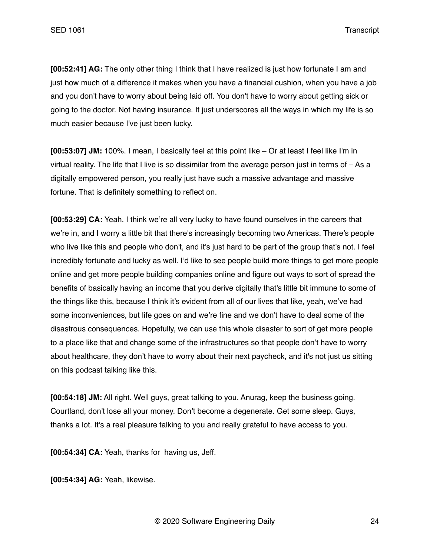**[00:52:41] AG:** The only other thing I think that I have realized is just how fortunate I am and just how much of a difference it makes when you have a financial cushion, when you have a job and you don't have to worry about being laid off. You don't have to worry about getting sick or going to the doctor. Not having insurance. It just underscores all the ways in which my life is so much easier because I've just been lucky.

**[00:53:07] JM:** 100%. I mean, I basically feel at this point like – Or at least I feel like I'm in virtual reality. The life that I live is so dissimilar from the average person just in terms of – As a digitally empowered person, you really just have such a massive advantage and massive fortune. That is definitely something to reflect on.

**[00:53:29] CA:** Yeah. I think we're all very lucky to have found ourselves in the careers that we're in, and I worry a little bit that there's increasingly becoming two Americas. There's people who live like this and people who don't, and it's just hard to be part of the group that's not. I feel incredibly fortunate and lucky as well. I'd like to see people build more things to get more people online and get more people building companies online and figure out ways to sort of spread the benefits of basically having an income that you derive digitally that's little bit immune to some of the things like this, because I think it's evident from all of our lives that like, yeah, we've had some inconveniences, but life goes on and we're fine and we don't have to deal some of the disastrous consequences. Hopefully, we can use this whole disaster to sort of get more people to a place like that and change some of the infrastructures so that people don't have to worry about healthcare, they don't have to worry about their next paycheck, and it's not just us sitting on this podcast talking like this.

**[00:54:18] JM:** All right. Well guys, great talking to you. Anurag, keep the business going. Courtland, don't lose all your money. Don't become a degenerate. Get some sleep. Guys, thanks a lot. It's a real pleasure talking to you and really grateful to have access to you.

**[00:54:34] CA:** Yeah, thanks for having us, Jeff.

**[00:54:34] AG:** Yeah, likewise.